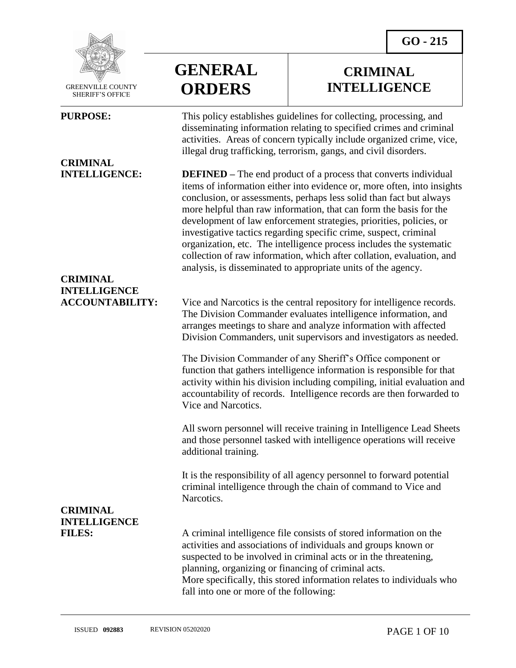**CRIMINAL INTELLIGENCE**



 GREENVILLE COUNTY SHERIFF'S OFFICE

 $\overline{a}$ 

# **CRIMINAL**

## **CRIMINAL INTELLIGENCE**

**CRIMINAL INTELLIGENCE**

# **GENERAL ORDERS**

**PURPOSE:** This policy establishes guidelines for collecting, processing, and disseminating information relating to specified crimes and criminal activities. Areas of concern typically include organized crime, vice, illegal drug trafficking, terrorism, gangs, and civil disorders.

**INTELLIGENCE: DEFINED –** The end product of a process that converts individual items of information either into evidence or, more often, into insights conclusion, or assessments, perhaps less solid than fact but always more helpful than raw information, that can form the basis for the development of law enforcement strategies, priorities, policies, or investigative tactics regarding specific crime, suspect, criminal organization, etc. The intelligence process includes the systematic collection of raw information, which after collation, evaluation, and analysis, is disseminated to appropriate units of the agency.

**ACCOUNTABILITY:** Vice and Narcotics is the central repository for intelligence records. The Division Commander evaluates intelligence information, and arranges meetings to share and analyze information with affected Division Commanders, unit supervisors and investigators as needed.

> The Division Commander of any Sheriff's Office component or function that gathers intelligence information is responsible for that activity within his division including compiling, initial evaluation and accountability of records. Intelligence records are then forwarded to Vice and Narcotics.

All sworn personnel will receive training in Intelligence Lead Sheets and those personnel tasked with intelligence operations will receive additional training.

It is the responsibility of all agency personnel to forward potential criminal intelligence through the chain of command to Vice and Narcotics.

FILES: A criminal intelligence file consists of stored information on the activities and associations of individuals and groups known or suspected to be involved in criminal acts or in the threatening, planning, organizing or financing of criminal acts. More specifically, this stored information relates to individuals who fall into one or more of the following: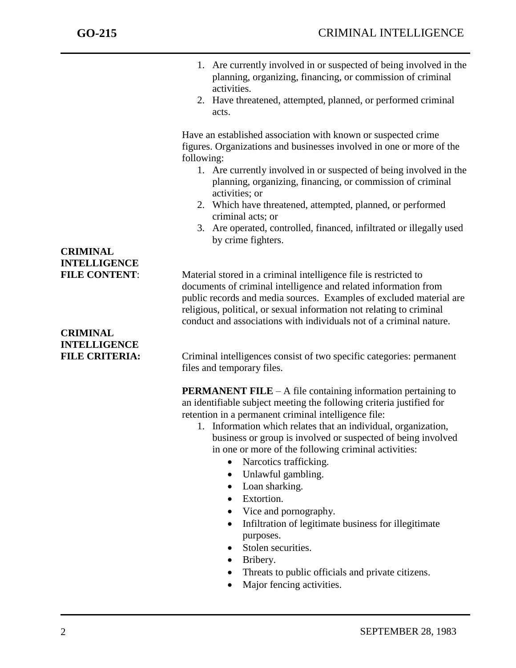- 1. Are currently involved in or suspected of being involved in the planning, organizing, financing, or commission of criminal activities.
- 2. Have threatened, attempted, planned, or performed criminal acts.

Have an established association with known or suspected crime figures. Organizations and businesses involved in one or more of the following:

- 1. Are currently involved in or suspected of being involved in the planning, organizing, financing, or commission of criminal activities; or
- 2. Which have threatened, attempted, planned, or performed criminal acts; or
- 3. Are operated, controlled, financed, infiltrated or illegally used by crime fighters.

**FILE CONTENT:** Material stored in a criminal intelligence file is restricted to documents of criminal intelligence and related information from public records and media sources. Examples of excluded material are religious, political, or sexual information not relating to criminal conduct and associations with individuals not of a criminal nature.

# **CRIMINAL INTELLIGENCE**

**CRIMINAL INTELLIGENCE**

**FILE CRITERIA:** Criminal intelligences consist of two specific categories: permanent files and temporary files.

> **PERMANENT FILE** – A file containing information pertaining to an identifiable subject meeting the following criteria justified for retention in a permanent criminal intelligence file:

- 1. Information which relates that an individual, organization, business or group is involved or suspected of being involved in one or more of the following criminal activities:
	- Narcotics trafficking.
	- Unlawful gambling.
	- Loan sharking.
	- Extortion.
	- Vice and pornography.
	- Infiltration of legitimate business for illegitimate purposes.
	- Stolen securities.
	- Bribery.
	- Threats to public officials and private citizens.
	- Major fencing activities.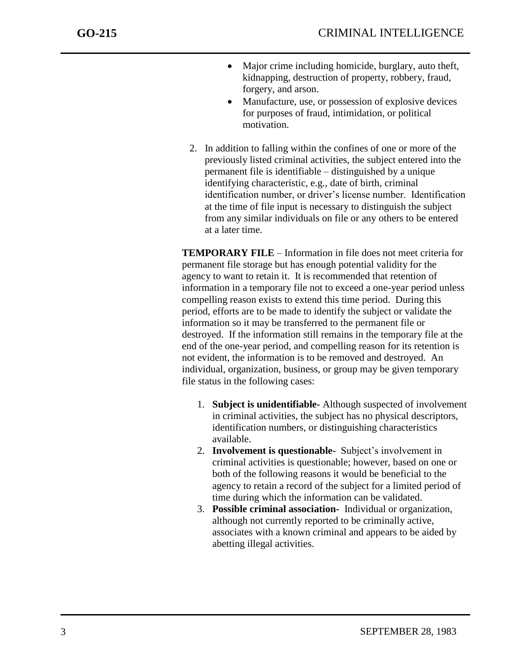- Major crime including homicide, burglary, auto theft, kidnapping, destruction of property, robbery, fraud, forgery, and arson.
- Manufacture, use, or possession of explosive devices for purposes of fraud, intimidation, or political motivation.
- 2. In addition to falling within the confines of one or more of the previously listed criminal activities, the subject entered into the permanent file is identifiable – distinguished by a unique identifying characteristic, e.g., date of birth, criminal identification number, or driver's license number. Identification at the time of file input is necessary to distinguish the subject from any similar individuals on file or any others to be entered at a later time.

**TEMPORARY FILE** – Information in file does not meet criteria for permanent file storage but has enough potential validity for the agency to want to retain it. It is recommended that retention of information in a temporary file not to exceed a one-year period unless compelling reason exists to extend this time period. During this period, efforts are to be made to identify the subject or validate the information so it may be transferred to the permanent file or destroyed. If the information still remains in the temporary file at the end of the one-year period, and compelling reason for its retention is not evident, the information is to be removed and destroyed. An individual, organization, business, or group may be given temporary file status in the following cases:

- 1. **Subject is unidentifiable-** Although suspected of involvement in criminal activities, the subject has no physical descriptors, identification numbers, or distinguishing characteristics available.
- 2. **Involvement is questionable-** Subject's involvement in criminal activities is questionable; however, based on one or both of the following reasons it would be beneficial to the agency to retain a record of the subject for a limited period of time during which the information can be validated.
- 3. **Possible criminal association-** Individual or organization, although not currently reported to be criminally active, associates with a known criminal and appears to be aided by abetting illegal activities.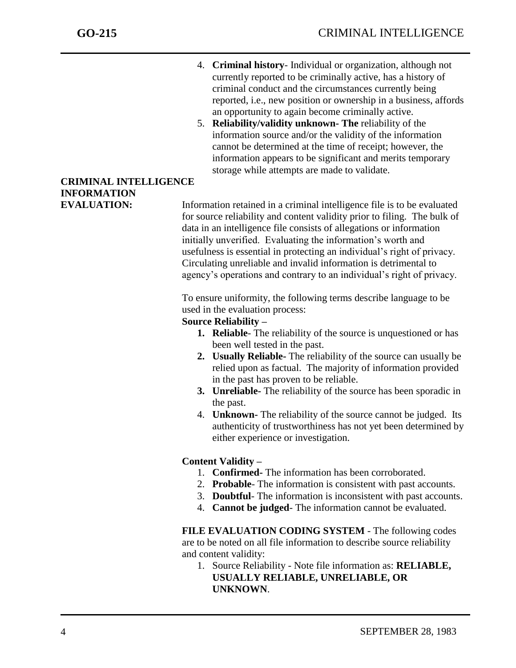- 4. **Criminal history** Individual or organization, although not currently reported to be criminally active, has a history of criminal conduct and the circumstances currently being reported, i.e., new position or ownership in a business, affords an opportunity to again become criminally active.
- 5. **Reliability/validity unknown- The** reliability of the information source and/or the validity of the information cannot be determined at the time of receipt; however, the information appears to be significant and merits temporary storage while attempts are made to validate.

### **CRIMINAL INTELLIGENCE INFORMATION**

**EVALUATION:** Information retained in a criminal intelligence file is to be evaluated for source reliability and content validity prior to filing. The bulk of data in an intelligence file consists of allegations or information initially unverified. Evaluating the information's worth and usefulness is essential in protecting an individual's right of privacy. Circulating unreliable and invalid information is detrimental to agency's operations and contrary to an individual's right of privacy.

> To ensure uniformity, the following terms describe language to be used in the evaluation process:

#### **Source Reliability –**

- **1. Reliable** The reliability of the source is unquestioned or has been well tested in the past.
- **2. Usually Reliable-** The reliability of the source can usually be relied upon as factual. The majority of information provided in the past has proven to be reliable.
- **3. Unreliable-** The reliability of the source has been sporadic in the past.
- 4. **Unknown-** The reliability of the source cannot be judged. Its authenticity of trustworthiness has not yet been determined by either experience or investigation.

#### **Content Validity –**

- 1. **Confirmed-** The information has been corroborated.
- 2. **Probable** The information is consistent with past accounts.
- 3. **Doubtful** The information is inconsistent with past accounts.
- 4. **Cannot be judged** The information cannot be evaluated.

**FILE EVALUATION CODING SYSTEM** - The following codes are to be noted on all file information to describe source reliability and content validity:

1. Source Reliability - Note file information as: **RELIABLE, USUALLY RELIABLE, UNRELIABLE, OR UNKNOWN**.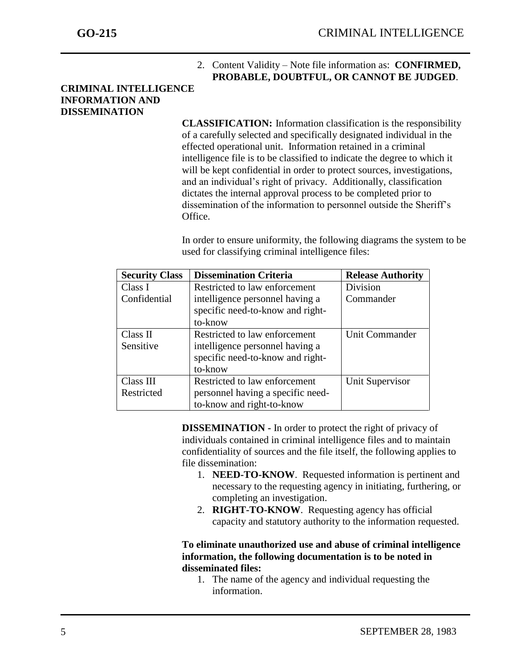#### 2. Content Validity – Note file information as: **CONFIRMED, PROBABLE, DOUBTFUL, OR CANNOT BE JUDGED**.

#### **CRIMINAL INTELLIGENCE INFORMATION AND DISSEMINATION**

j

**CLASSIFICATION:** Information classification is the responsibility of a carefully selected and specifically designated individual in the effected operational unit.Information retained in a criminal intelligence file is to be classified to indicate the degree to which it will be kept confidential in order to protect sources, investigations, and an individual's right of privacy. Additionally, classification dictates the internal approval process to be completed prior to dissemination of the information to personnel outside the Sheriff's Office.

In order to ensure uniformity, the following diagrams the system to be used for classifying criminal intelligence files:

| <b>Security Class</b> | <b>Dissemination Criteria</b>     | <b>Release Authority</b> |
|-----------------------|-----------------------------------|--------------------------|
| Class I               | Restricted to law enforcement     | <b>Division</b>          |
| Confidential          | intelligence personnel having a   | Commander                |
|                       | specific need-to-know and right-  |                          |
|                       | to-know                           |                          |
| Class II              | Restricted to law enforcement     | Unit Commander           |
| Sensitive             | intelligence personnel having a   |                          |
|                       | specific need-to-know and right-  |                          |
|                       | to-know                           |                          |
| Class III             | Restricted to law enforcement     | Unit Supervisor          |
| Restricted            | personnel having a specific need- |                          |
|                       | to-know and right-to-know         |                          |

**DISSEMINATION -** In order to protect the right of privacy of individuals contained in criminal intelligence files and to maintain confidentiality of sources and the file itself, the following applies to file dissemination:

- 1. **NEED-TO-KNOW**. Requested information is pertinent and necessary to the requesting agency in initiating, furthering, or completing an investigation.
- 2. **RIGHT-TO-KNOW**. Requesting agency has official capacity and statutory authority to the information requested.

#### **To eliminate unauthorized use and abuse of criminal intelligence information, the following documentation is to be noted in disseminated files:**

1. The name of the agency and individual requesting the information.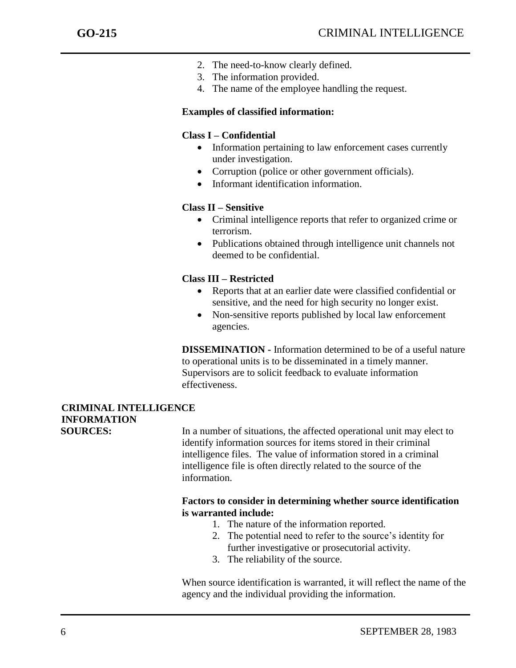- 2. The need-to-know clearly defined.
- 3. The information provided.
- 4. The name of the employee handling the request.

#### **Examples of classified information:**

#### **Class I – Confidential**

- Information pertaining to law enforcement cases currently under investigation.
- Corruption (police or other government officials).
- Informant identification information.

#### **Class II – Sensitive**

- Criminal intelligence reports that refer to organized crime or terrorism.
- Publications obtained through intelligence unit channels not deemed to be confidential.

#### **Class III – Restricted**

- Reports that at an earlier date were classified confidential or sensitive, and the need for high security no longer exist.
- Non-sensitive reports published by local law enforcement agencies.

**DISSEMINATION -** Information determined to be of a useful nature to operational units is to be disseminated in a timely manner. Supervisors are to solicit feedback to evaluate information effectiveness.

### **CRIMINAL INTELLIGENCE INFORMATION**

**SOURCES:** In a number of situations, the affected operational unit may elect to identify information sources for items stored in their criminal intelligence files. The value of information stored in a criminal intelligence file is often directly related to the source of the information.

#### **Factors to consider in determining whether source identification is warranted include:**

- 1. The nature of the information reported.
- 2. The potential need to refer to the source's identity for further investigative or prosecutorial activity.
- 3. The reliability of the source.

When source identification is warranted, it will reflect the name of the agency and the individual providing the information.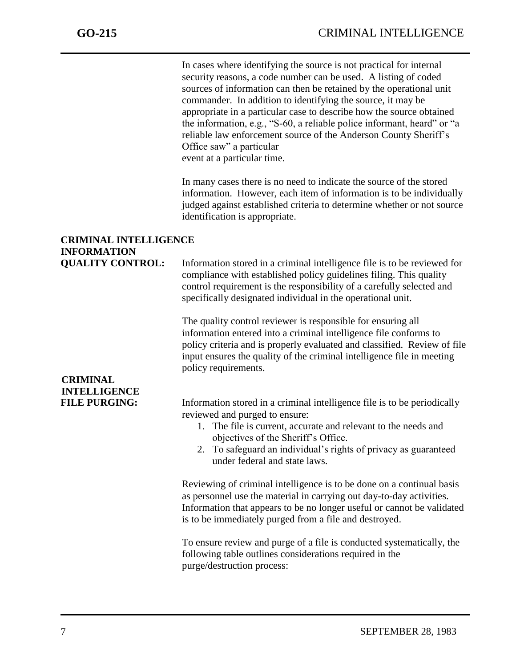In cases where identifying the source is not practical for internal security reasons, a code number can be used. A listing of coded sources of information can then be retained by the operational unit commander. In addition to identifying the source, it may be appropriate in a particular case to describe how the source obtained the information, e.g., "S-60, a reliable police informant, heard" or "a reliable law enforcement source of the Anderson County Sheriff's Office saw" a particular event at a particular time.

In many cases there is no need to indicate the source of the stored information. However, each item of information is to be individually judged against established criteria to determine whether or not source identification is appropriate.

### **CRIMINAL INTELLIGENCE INFORMATION**

**QUALITY CONTROL:** Information stored in a criminal intelligence file is to be reviewed for compliance with established policy guidelines filing. This quality control requirement is the responsibility of a carefully selected and specifically designated individual in the operational unit.

> The quality control reviewer is responsible for ensuring all information entered into a criminal intelligence file conforms to policy criteria and is properly evaluated and classified. Review of file input ensures the quality of the criminal intelligence file in meeting policy requirements.

# **CRIMINAL INTELLIGENCE**

**FILE PURGING:** Information stored in a criminal intelligence file is to be periodically reviewed and purged to ensure:

- 1. The file is current, accurate and relevant to the needs and objectives of the Sheriff's Office.
- 2. To safeguard an individual's rights of privacy as guaranteed under federal and state laws.

Reviewing of criminal intelligence is to be done on a continual basis as personnel use the material in carrying out day-to-day activities. Information that appears to be no longer useful or cannot be validated is to be immediately purged from a file and destroyed.

To ensure review and purge of a file is conducted systematically, the following table outlines considerations required in the purge/destruction process: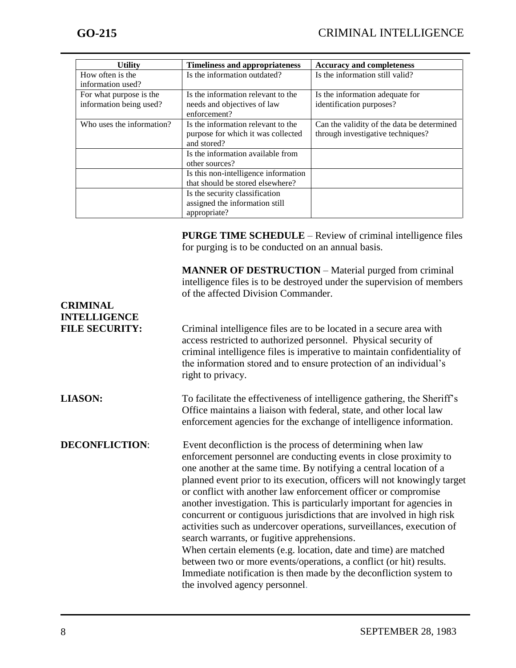| <b>Utility</b>            | <b>Timeliness and appropriateness</b> | <b>Accuracy and completeness</b>           |
|---------------------------|---------------------------------------|--------------------------------------------|
| How often is the          | Is the information outdated?          | Is the information still valid?            |
| information used?         |                                       |                                            |
| For what purpose is the   | Is the information relevant to the    | Is the information adequate for            |
| information being used?   | needs and objectives of law           | identification purposes?                   |
|                           | enforcement?                          |                                            |
| Who uses the information? | Is the information relevant to the    | Can the validity of the data be determined |
|                           | purpose for which it was collected    | through investigative techniques?          |
|                           | and stored?                           |                                            |
|                           | Is the information available from     |                                            |
|                           | other sources?                        |                                            |
|                           | Is this non-intelligence information  |                                            |
|                           | that should be stored elsewhere?      |                                            |
|                           | Is the security classification        |                                            |
|                           | assigned the information still        |                                            |
|                           | appropriate?                          |                                            |
|                           |                                       |                                            |

**PURGE TIME SCHEDULE** – Review of criminal intelligence files for purging is to be conducted on an annual basis.

**MANNER OF DESTRUCTION** – Material purged from criminal intelligence files is to be destroyed under the supervision of members of the affected Division Commander.

### **CRIMINAL INTELLIGENCE FILE SECURITY:** Criminal intelligence files are to be located in a secure area with access restricted to authorized personnel. Physical security of criminal intelligence files is imperative to maintain confidentiality of the information stored and to ensure protection of an individual's right to privacy. **LIASON:** To facilitate the effectiveness of intelligence gathering, the Sheriff's Office maintains a liaison with federal, state, and other local law enforcement agencies for the exchange of intelligence information. **DECONFLICTION:** Event deconfliction is the process of determining when law enforcement personnel are conducting events in close proximity to one another at the same time. By notifying a central location of a planned event prior to its execution, officers will not knowingly target or conflict with another law enforcement officer or compromise another investigation. This is particularly important for agencies in concurrent or contiguous jurisdictions that are involved in high risk activities such as undercover operations, surveillances, execution of search warrants, or fugitive apprehensions. When certain elements (e.g. location, date and time) are matched between two or more events/operations, a conflict (or hit) results. Immediate notification is then made by the deconfliction system to the involved agency personnel.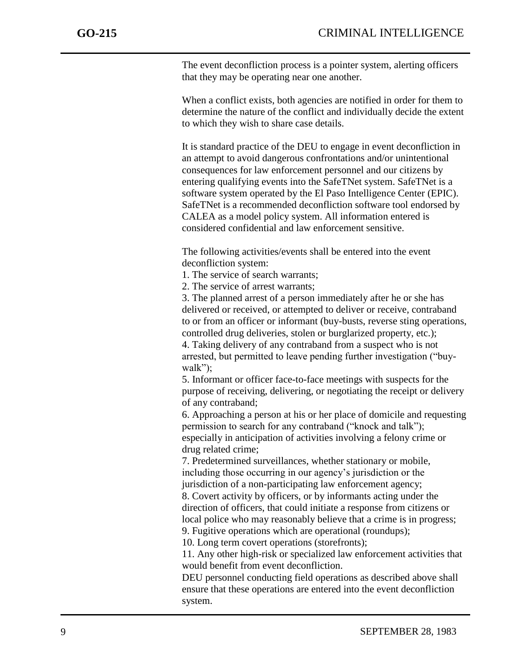The event deconfliction process is a pointer system, alerting officers that they may be operating near one another.

When a conflict exists, both agencies are notified in order for them to determine the nature of the conflict and individually decide the extent to which they wish to share case details.

It is standard practice of the DEU to engage in event deconfliction in an attempt to avoid dangerous confrontations and/or unintentional consequences for law enforcement personnel and our citizens by entering qualifying events into the SafeTNet system. SafeTNet is a software system operated by the El Paso Intelligence Center (EPIC). SafeTNet is a recommended deconfliction software tool endorsed by CALEA as a model policy system. All information entered is considered confidential and law enforcement sensitive.

The following activities/events shall be entered into the event deconfliction system:

1. The service of search warrants;

2. The service of arrest warrants;

3. The planned arrest of a person immediately after he or she has delivered or received, or attempted to deliver or receive, contraband to or from an officer or informant (buy-busts, reverse sting operations, controlled drug deliveries, stolen or burglarized property, etc.); 4. Taking delivery of any contraband from a suspect who is not arrested, but permitted to leave pending further investigation ("buywalk");

5. Informant or officer face-to-face meetings with suspects for the purpose of receiving, delivering, or negotiating the receipt or delivery of any contraband;

6. Approaching a person at his or her place of domicile and requesting permission to search for any contraband ("knock and talk"); especially in anticipation of activities involving a felony crime or drug related crime;

7. Predetermined surveillances, whether stationary or mobile, including those occurring in our agency's jurisdiction or the jurisdiction of a non-participating law enforcement agency;

8. Covert activity by officers, or by informants acting under the direction of officers, that could initiate a response from citizens or local police who may reasonably believe that a crime is in progress; 9. Fugitive operations which are operational (roundups);

10. Long term covert operations (storefronts);

11. Any other high-risk or specialized law enforcement activities that would benefit from event deconfliction.

DEU personnel conducting field operations as described above shall ensure that these operations are entered into the event deconfliction system.